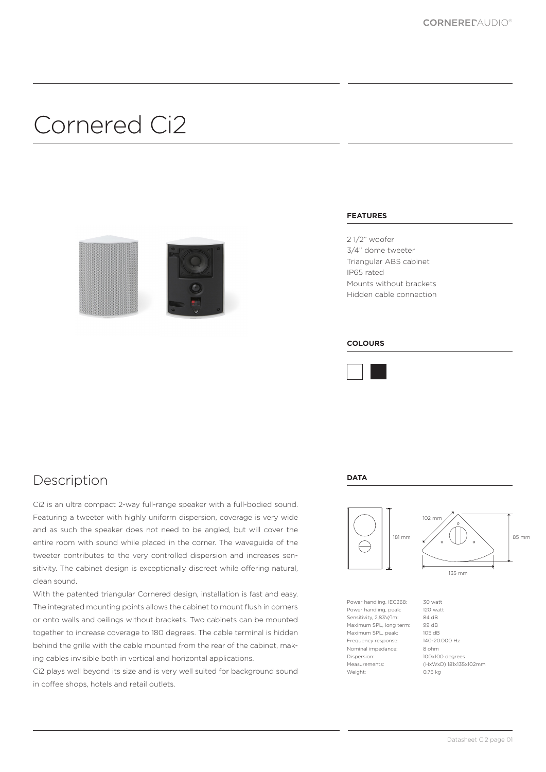# Cornered Ci2



### **FEATURES**

2 1/2" woofer 3/4" dome tweeter Triangular ABS cabinet IP65 rated Mounts without brackets Hidden cable connection

#### **COLOURS**



**DATA**

### Description

Ci2 is an ultra compact 2-way full-range speaker with a full-bodied sound. Featuring a tweeter with highly uniform dispersion, coverage is very wide and as such the speaker does not need to be angled, but will cover the entire room with sound while placed in the corner. The waveguide of the tweeter contributes to the very controlled dispersion and increases sensitivity. The cabinet design is exceptionally discreet while offering natural, clean sound.

With the patented triangular Cornered design, installation is fast and easy. The integrated mounting points allows the cabinet to mount flush in corners or onto walls and ceilings without brackets. Two cabinets can be mounted together to increase coverage to 180 degrees. The cable terminal is hidden behind the grille with the cable mounted from the rear of the cabinet, making cables invisible both in vertical and horizontal applications.

Ci2 plays well beyond its size and is very well suited for background sound in coffee shops, hotels and retail outlets.